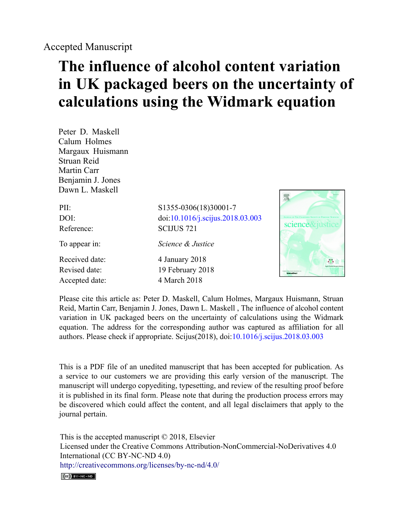## **The influence of alcohol content variation in UK packaged beers on the uncertainty of calculations using the Widmark equation**

Peter D. Maskell Calum Holmes Margaux Huismann Struan Reid Martin Carr Benjamin J. Jones Dawn L. Maskell

| PII:           | S1355-0306(18)30001-7            |
|----------------|----------------------------------|
| DOI:           | doi:10.1016/j.scijus.2018.03.003 |
| Reference:     | <b>SCIJUS 721</b>                |
| To appear in:  | Science & Justice                |
| Received date: | 4 January 2018                   |
| Revised date:  | 19 February 2018                 |
| Accepted date: | 4 March 2018                     |



Please cite this article as: Peter D. Maskell, Calum Holmes, Margaux Huismann, Struan Reid, Martin Carr, Benjamin J. Jones, Dawn L. Maskell , The influence of alcohol content variation in UK packaged beers on the uncertainty of calculations using the Widmark equation. The address for the corresponding author was captured as affiliation for all authors. Please check if appropriate. Scijus(2018), doi[:10.1016/j.scijus.2018.03.003](https://doi.org/10.1016/j.scijus.2018.03.003)

This is a PDF file of an unedited manuscript that has been accepted for publication. As a service to our customers we are providing this early version of the manuscript. The manuscript will undergo copyediting, typesetting, and review of the resulting proof before it is published in its final form. Please note that during the production process errors may be discovered which could affect the content, and all legal disclaimers that apply to the journal pertain.

This is the accepted manuscript © 2018, Elsevier Licensed under the Creative Commons Attribution-NonCommercial-NoDerivatives 4.0 International (CC BY-NC-ND 4.0) <http://creativecommons.org/licenses/by-nc-nd/4.0/>

 $(C<sub>c</sub>)$  BY-NC-ND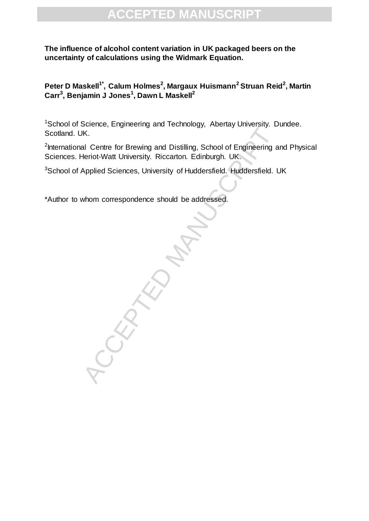#### **The influence of alcohol content variation in UK packaged beers on the uncertainty of calculations using the Widmark Equation.**

**Peter D Maskell1\*, Calum Holmes<sup>2</sup> , Margaux Huismann<sup>2</sup> Struan Reid<sup>2</sup> , Martin Carr<sup>3</sup> , Benjamin J Jones<sup>1</sup> , Dawn L Maskell<sup>2</sup>**

<sup>1</sup>School of Science, Engineering and Technology, Abertay University. Dundee. Scotland. UK.

<sup>2</sup>International Centre for Brewing and Distilling, School of Engineering and Physical Sciences. Heriot-Watt University. Riccarton. Edinburgh. UK.

<sup>3</sup>School of Applied Sciences, University of Huddersfield. Huddersfield. UK

\*Author to whom correspondence should be addressed.

RANUSCRIPT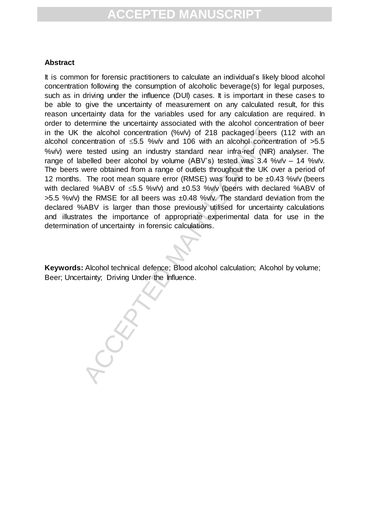#### **Abstract**

the alcohol concentration (%w) of 218 packaged beers<br>centration of ≤5.5 %w/v and 106 with an alcohol concent<br>tested using an industry standard near infra-red (NIR)<br>belied beer alcohol by volume (ABV's) tested was 3.4 %<br>wer It is common for forensic practitioners to calculate an individual's likely blood alcohol concentration following the consumption of alcoholic beverage(s) for legal purposes, such as in driving under the influence (DUI) cases. It is important in these cases to be able to give the uncertainty of measurement on any calculated result, for this reason uncertainty data for the variables used for any calculation are required. In order to determine the uncertainty associated with the alcohol concentration of beer in the UK the alcohol concentration (%v/v) of 218 packaged beers (112 with an alcohol concentration of  $\leq$ 5.5 %v/v and 106 with an alcohol concentration of  $>$ 5.5 %v/v) were tested using an industry standard near infra-red (NIR) analyser. The range of labelled beer alcohol by volume (ABV's) tested was  $3.4$  %v/v –  $14$  %v/v. The beers were obtained from a range of outlets throughout the UK over a period of 12 months. The root mean square error (RMSE) was found to be  $\pm 0.43$  %v/v (beers with declared %ABV of  $\leq$ 5.5 %v/v) and  $\pm$ 0.53 %v/v (beers with declared %ABV of  $>5.5$  %v/v) the RMSE for all beers was  $\pm 0.48$  %v/v. The standard deviation from the declared %ABV is larger than those previously utilised for uncertainty calculations and illustrates the importance of appropriate experimental data for use in the determination of uncertainty in forensic calculations.

**Keywords:** Alcohol technical defence; Blood alcohol calculation; Alcohol by volume; Beer; Uncertainty; Driving Under the Influence.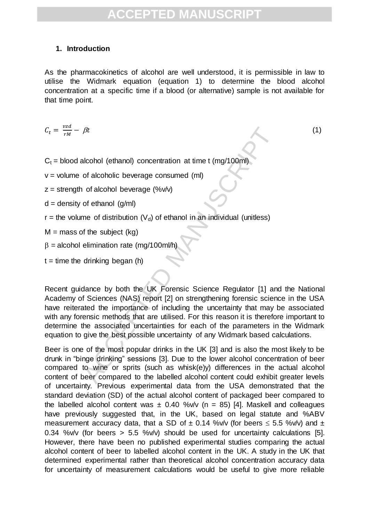#### **1. Introduction**

As the pharmacokinetics of alcohol are well understood, it is permissible in law to utilise the Widmark equation (equation 1) to determine the blood alcohol concentration at a specific time if a blood (or alternative) sample is not available for that time point.

$$
C_t = \frac{vzd}{rM} - \beta t \tag{1}
$$

 $C_t$  = blood alcohol (ethanol) concentration at time t (mg/100ml)

 $v =$  volume of alcoholic beverage consumed (ml)

 $z =$  strength of alcohol beverage (%v/v)

 $d =$  density of ethanol  $(q/ml)$ 

 $r =$  the volume of distribution (V<sub>d</sub>) of ethanol in an individual (unitless)

 $M =$  mass of the subject (kg)

 $\beta$  = alcohol elimination rate (mg/100ml/h

 $t =$  time the drinking began (h)

*fit*<br>
dicohol (ethanol) concentration at time t (mg/100ml)<br>
of alcoholic beverage consumed (ml)<br>
of alcoholic beverage (%w)<br>
of ethanol (g/ml)<br>
me of distribution (V<sub>d</sub>) of ethanol in an individual (unitless)<br>
of the sub Recent guidance by both the UK Forensic Science Regulator [1] and the National Academy of Sciences (NAS) report [2] on strengthening forensic science in the USA have reiterated the importance of including the uncertainty that may be associated with any forensic methods that are utilised. For this reason it is therefore important to determine the associated uncertainties for each of the parameters in the Widmark equation to give the best possible uncertainty of any Widmark based calculations.

Beer is one of the most popular drinks in the UK [3] and is also the most likely to be drunk in "binge drinking" sessions [3]. Due to the lower alcohol concentration of beer compared to wine or sprits (such as whisk(e)y) differences in the actual alcohol content of beer compared to the labelled alcohol content could exhibit greater levels of uncertainty. Previous experimental data from the USA demonstrated that the standard deviation (SD) of the actual alcohol content of packaged beer compared to the labelled alcohol content was  $\pm$  0.40 %v/v (n = 85) [4]. Maskell and colleagues have previously suggested that, in the UK, based on legal statute and %ABV measurement accuracy data, that a SD of  $\pm$  0.14 %v/v (for beers  $\leq$  5.5 %v/v) and  $\pm$ 0.34 %v/v (for beers > 5.5 %v/v) should be used for uncertainty calculations [5]. However, there have been no published experimental studies comparing the actual alcohol content of beer to labelled alcohol content in the UK. A study in the UK that determined experimental rather than theoretical alcohol concentration accuracy data for uncertainty of measurement calculations would be useful to give more reliable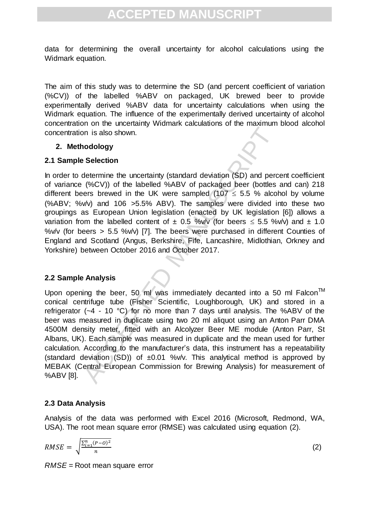data for determining the overall uncertainty for alcohol calculations using the Widmark equation.

The aim of this study was to determine the SD (and percent coefficient of variation (%CV)) of the labelled %ABV on packaged, UK brewed beer to provide experimentally derived %ABV data for uncertainty calculations when using the Widmark equation. The influence of the experimentally derived uncertainty of alcohol concentration on the uncertainty Widmark calculations of the maximum blood alcohol concentration is also shown.

#### **2. Methodology**

#### **2.1 Sample Selection**

In order to determine the uncertainty (standard deviation (SD) and percent coefficient of variance (%CV)) of the labelled %ABV of packaged beer (bottles and can) 218 different beers brewed in the UK were sampled (107  $\leq$  5.5 % alcohol by volume (%ABV; %v/v) and 106 >5.5% ABV). The samples were divided into these two groupings as European Union legislation (enacted by UK legislation [6]) allows a variation from the labelled content of  $\pm$  0.5 %v/v (for beers  $\leq$  5.5 %v/v) and  $\pm$  1.0 %v/v (for beers  $> 5.5$  %v/v) [7]. The beers were purchased in different Counties of England and Scotland (Angus, Berkshire, Fife, Lancashire, Midlothian, Orkney and Yorkshire) between October 2016 and October 2017.

#### **2.2 Sample Analysis**

on is also shown.<br> **ACCEL SECUTE:**<br> **ACCEL SECUTE:**<br> **ACCEL SECUTE:**<br> **ACCEL SECUTE:**<br> **ACCEPTED MANUSCRIPT (STANDAT ACCED) on the labelled %ABV of packaged beer (bottles<br>
ers breved in the UK were sampled (107**  $\leq$  **5.5** Upon opening the beer, 50 ml was immediately decanted into a 50 ml Falcon<sup>TM</sup> conical centrifuge tube (Fisher Scientific, Loughborough, UK) and stored in a refrigerator (~4 - 10 °C) for no more than 7 days until analysis. The %ABV of the beer was measured in duplicate using two 20 ml aliquot using an Anton Parr DMA 4500M density meter, fitted with an Alcolyzer Beer ME module (Anton Parr, St Albans, UK). Each sample was measured in duplicate and the mean used for further calculation. According to the manufacturer's data, this instrument has a repeatability (standard deviation (SD)) of  $\pm 0.01$  %v/v. This analytical method is approved by MEBAK (Central European Commission for Brewing Analysis) for measurement of %ABV [8].

#### **2.3 Data Analysis**

Analysis of the data was performed with Excel 2016 (Microsoft, Redmond, WA, USA). The root mean square error (RMSE) was calculated using equation (2).

$$
RMSE = \sqrt{\frac{\sum_{i=1}^{n} (P - O)^2}{n}}
$$
 (2)

*RMSE* = Root mean square error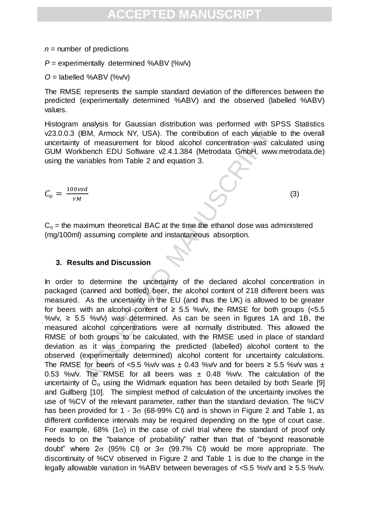#### $n =$  number of predictions

*P* = experimentally determined %ABV (%v/v)

 $O =$  labelled %ABV (%v/v)

The RMSE represents the sample standard deviation of the differences between the predicted (experimentally determined %ABV) and the observed (labelled %ABV) values.

Histogram analysis for Gaussian distribution was performed with SPSS Statistics v23.0.0.3 (IBM, Armock NY, USA). The contribution of each variable to the overall uncertainty of measurement for blood alcohol concentration was calculated using GUM Workbench EDU Software v2.4.1.384 (Metrodata GmbH, www.metrodata.de) using the variables from Table 2 and equation 3.

$$
C_o = \frac{100 \nu z d}{r M}
$$

(3)

 $C<sub>o</sub>$  = the maximum theoretical BAC at the time the ethanol dose was administered (mg/100ml) assuming complete and instantaneous absorption.

#### **3. Results and Discussion**

BM, Armock NY, USA). The contribution of each variable<br>
of measurement for blood alcohol concentration was calence figure with the contribution of each variables<br>
of measurement for blood alcohol concentration was calence In order to determine the uncertainty of the declared alcohol concentration in packaged (canned and bottled) beer, the alcohol content of 218 different beers was measured. As the uncertainty in the EU (and thus the UK) is allowed to be greater for beers with an alcohol content of  $\geq$  5.5 %v/v, the RMSE for both groups (<5.5 %v/v,  $\geq$  5.5 %v/v) was determined. As can be seen in figures 1A and 1B, the measured alcohol concentrations were all normally distributed. This allowed the RMSE of both groups to be calculated, with the RMSE used in place of standard deviation as it was comparing the predicted (labelled) alcohol content to the observed (experimentally determined) alcohol content for uncertainty calculations. The RMSE for beers of <5.5 %v/v was  $\pm$  0.43 %v/v and for beers  $\ge$  5.5 %v/v was  $\pm$ 0.53 %v/v. The RMSE for all beers was  $\pm$  0.48 %v/v. The calculation of the uncertainty of  $C_0$  using the Widmark equation has been detailed by both Searle [9] and Gullberg [10]. The simplest method of calculation of the uncertainty involves the use of %CV of the relevant parameter, rather than the standard deviation. The %CV has been provided for  $1 - 3\sigma$  (68-99% CI) and is shown in Figure 2 and Table 1, as different confidence intervals may be required depending on the type of court case. For example, 68% (1 $\sigma$ ) in the case of civil trial where the standard of proof only needs to on the "balance of probability" rather than that of "beyond reasonable doubt" where  $2\sigma$  (95% CI) or  $3\sigma$  (99.7% CI) would be more appropriate. The discontinuity of %CV observed in Figure 2 and Table 1 is due to the change in the legally allowable variation in %ABV between beverages of <5.5 %v/v and ≥ 5.5 %v/v.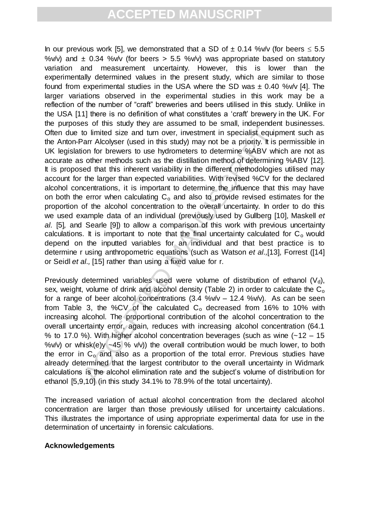to limited size and turn over, investment in specialist equiprar Alcolyser (used in this study) may not be a priority. It is other methods such as the distillation method of determinite %ABV while of the larger than expec In our previous work [5], we demonstrated that a SD of  $\pm$  0.14 %v/v (for beers  $\leq$  5.5 %v/v) and  $\pm$  0.34 %v/v (for beers  $> 5.5$  %v/v) was appropriate based on statutory variation and measurement uncertainty. However, this is lower than the experimentally determined values in the present study, which are similar to those found from experimental studies in the USA where the SD was  $\pm$  0.40 %v/v [4]. The larger variations observed in the experimental studies in this work may be a reflection of the number of "craft" breweries and beers utilised in this study. Unlike in the USA [11] there is no definition of what constitutes a 'craft' brewery in the UK. For the purposes of this study they are assumed to be small, independent businesses. Often due to limited size and turn over, investment in specialist equipment such as the Anton-Parr Alcolyser (used in this study) may not be a priority. It is permissible in UK legislation for brewers to use hydrometers to determine %ABV which are not as accurate as other methods such as the distillation method of determining %ABV [12]. It is proposed that this inherent variability in the different methodologies utilised may account for the larger than expected variabilities. With revised %CV for the declared alcohol concentrations, it is important to determine the influence that this may have on both the error when calculating  $C_0$  and also to provide revised estimates for the proportion of the alcohol concentration to the overall uncertainty. In order to do this we used example data of an individual (previously used by Gullberg [10], Maskell *et al.* [5]*,* and Searle [9]) to allow a comparison of this work with previous uncertainty calculations. It is important to note that the final uncertainty calculated for  $C_0$  would depend on the inputted variables for an individual and that best practice is to determine r using anthropometric equations (such as Watson *et al.,*[13], Forrest ([14] or Seidl *et al.,* [15] rather than using a fixed value for r.

Previously determined variables used were volume of distribution of ethanol  $(V_d)$ , sex, weight, volume of drink and alcohol density (Table 2) in order to calculate the  $C<sub>o</sub>$ for a range of beer alcohol concentrations  $(3.4 \, \frac{\%}{\sqrt{v}} - 12.4 \, \frac{\%}{\sqrt{v}})$ . As can be seen from Table 3, the %CV of the calculated  $C_0$  decreased from 16% to 10% with increasing alcohol. The proportional contribution of the alcohol concentration to the overall uncertainty error, again, reduces with increasing alcohol concentration (64.1 % to 17.0 %). With higher alcohol concentration beverages (such as wine  $(-12 - 15)$ %v/v) or whisk(e)y  $-45$  % v/v)) the overall contribution would be much lower, to both the error in  $C_0$  and also as a proportion of the total error. Previous studies have already determined that the largest contributor to the overall uncertainty in Widmark calculations is the alcohol elimination rate and the subject's volume of distribution for ethanol [5,9,10] (in this study 34.1% to 78.9% of the total uncertainty).

The increased variation of actual alcohol concentration from the declared alcohol concentration are larger than those previously utilised for uncertainty calculations. This illustrates the importance of using appropriate experimental data for use in the determination of uncertainty in forensic calculations.

#### **Acknowledgements**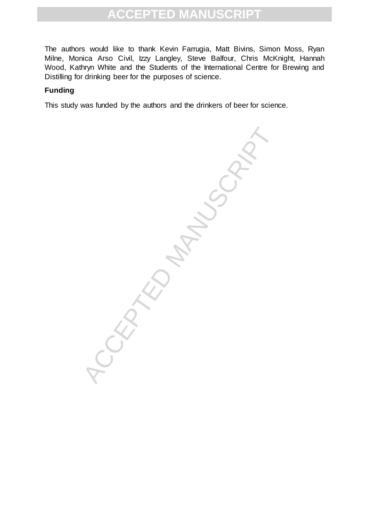The authors would like to thank Kevin Farrugia, Matt Bivins, Simon Moss, Ryan Milne, Monica Arso Civil, Izzy Langley, Steve Balfour, Chris McKnight, Hannah Wood, Kathryn White and the Students of the International Centre for Brewing and Distilling for drinking beer for the purposes of science.

#### **Funding**

This study was funded by the authors and the drinkers of beer for science.

APRO MANUSCRIPT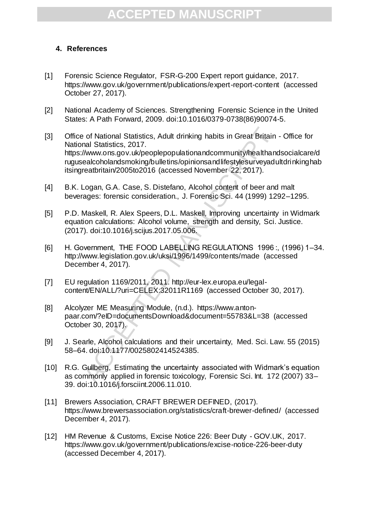#### **4. References**

- [1] Forensic Science Regulator, FSR-G-200 Expert report guidance, 2017. https://www.gov.uk/government/publications/expert-report-content (accessed October 27, 2017).
- [2] National Academy of Sciences. Strengthening Forensic Science in the United States: A Path Forward, 2009. doi:10.1016/0379-0738(86)90074-5.
- e of National Statistics, Adult drinking habits in Great Britain<br>
mal Statistics, 2017.<br>
//www.ons.gov.uk/peoplepopulationandcommunity/healthan/<br>
ealcoholandsmoking/bulletins/opinionsandlifestylesurveyadu<br>
ealcoholandsmoki [3] Office of National Statistics, Adult drinking habits in Great Britain - Office for National Statistics, 2017. https://www.ons.gov.uk/peoplepopulationandcommunity/healthandsocialcare/d rugusealcoholandsmoking/bulletins/opinionsandlifestylesurveyadultdrinkinghab itsingreatbritain/2005to2016 (accessed November 22, 2017).
- [4] B.K. Logan, G.A. Case, S. Distefano, Alcohol content of beer and malt beverages: forensic consideration., J. Forensic Sci. 44 (1999) 1292–1295.
- [5] P.D. Maskell, R. Alex Speers, D.L. Maskell, Improving uncertainty in Widmark equation calculations: Alcohol volume, strength and density, Sci. Justice. (2017). doi:10.1016/j.scijus.2017.05.006.
- [6] H. Government, THE FOOD LABELLING REGULATIONS 1996 :, (1996) 1–34. http://www.legislation.gov.uk/uksi/1996/1499/contents/made (accessed December 4, 2017).
- [7] EU regulation 1169/2011, 2011. http://eur-lex.europa.eu/legalcontent/EN/ALL/?uri=CELEX:32011R1169 (accessed October 30, 2017).
- [8] Alcolyzer ME Measuring Module, (n.d.). https://www.antonpaar.com/?eID=documentsDownload&document=55783&L=38 (accessed October 30, 2017).
- [9] J. Searle, Alcohol calculations and their uncertainty, Med. Sci. Law. 55 (2015) 58–64. doi:10.1177/0025802414524385.
- [10] R.G. Gullberg, Estimating the uncertainty associated with Widmark's equation as commonly applied in forensic toxicology, Forensic Sci. Int. 172 (2007) 33– 39. doi:10.1016/j.forsciint.2006.11.010.
- [11] Brewers Association, CRAFT BREWER DEFINED, (2017). https://www.brewersassociation.org/statistics/craft-brewer-defined/ (accessed December 4, 2017).
- [12] HM Revenue & Customs, Excise Notice 226: Beer Duty GOV.UK, 2017. https://www.gov.uk/government/publications/excise-notice-226-beer-duty (accessed December 4, 2017).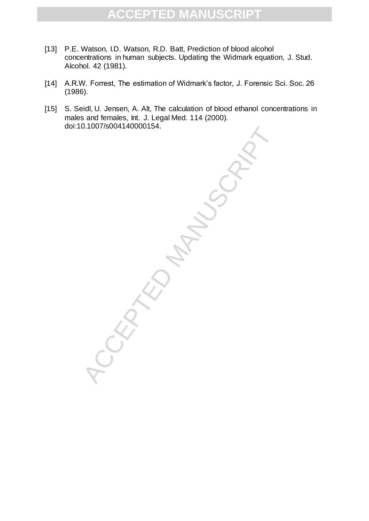- [13] P.E. Watson, I.D. Watson, R.D. Batt, Prediction of blood alcohol concentrations in human subjects. Updating the Widmark equation, J. Stud. Alcohol. 42 (1981).
- [14] A.R.W. Forrest, The estimation of Widmark's factor, J. Forensic Sci. Soc. 26 (1986).
- [15] S. Seidl, U. Jensen, A. Alt, The calculation of blood ethanol concentrations in males and females, Int. J. Legal Med. 114 (2000). doi:10.1007/s004140000154.

CEPTED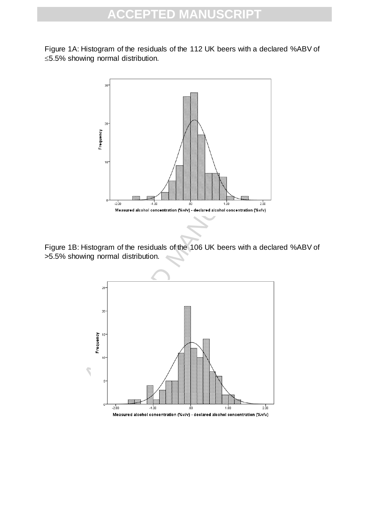Figure 1A: Histogram of the residuals of the 112 UK beers with a declared %ABV of 5.5% showing normal distribution.



Figure 1B: Histogram of the residuals of the 106 UK beers with a declared %ABV of >5.5% showing normal distribution.

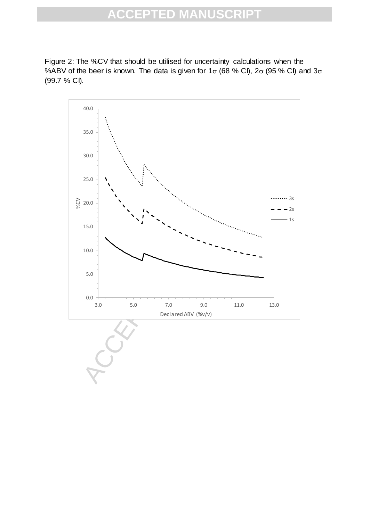Figure 2: The %CV that should be utilised for uncertainty calculations when the %ABV of the beer is known. The data is given for  $1\sigma$  (68 % CI),  $2\sigma$  (95 % CI) and  $3\sigma$ (99.7 % CI).

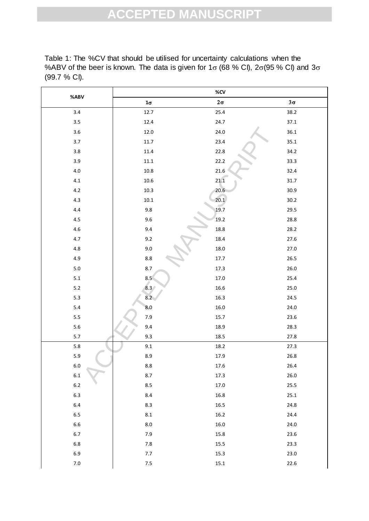Table 1: The %CV that should be utilised for uncertainty calculations when the %ABV of the beer is known. The data is given for 1 $\sigma$  (68 % Cl), 2 $\sigma$ (95 % Cl) and 3 $\sigma$ (99.7 % CI).

| %ABV    | %CV           |           |           |  |  |  |
|---------|---------------|-----------|-----------|--|--|--|
|         | $1\sigma$     | $2\sigma$ | $3\sigma$ |  |  |  |
| 3.4     | 12.7          | 25.4      | 38.2      |  |  |  |
| 3.5     | 12.4          | 24.7      | 37.1      |  |  |  |
| 3.6     | 12.0          | 24.0      | 36.1      |  |  |  |
| 3.7     | $11.7\,$      | 23.4      | 35.1      |  |  |  |
| 3.8     | 11.4          | 22.8      | 34.2      |  |  |  |
| 3.9     | $11.1\,$      | 22.2      | 33.3      |  |  |  |
| $4.0\,$ | $10.8\,$      | 21.6      | 32.4      |  |  |  |
| 4.1     | 10.6          | 21.1      | $31.7\,$  |  |  |  |
| $4.2\,$ | 10.3          | 20.6      | 30.9      |  |  |  |
| 4.3     | $10.1\,$      | 20.1      | $30.2\,$  |  |  |  |
| 4.4     | 9.8           | 19.7      | 29.5      |  |  |  |
| 4.5     | 9.6           | 19.2      | 28.8      |  |  |  |
| 4.6     | 9.4           | 18.8      | 28.2      |  |  |  |
| 4.7     | 9.2           | 18.4      | 27.6      |  |  |  |
| $4.8\,$ | 9.0           | $18.0\,$  | 27.0      |  |  |  |
| 4.9     | $8.8\,$       | 17.7      | 26.5      |  |  |  |
| $5.0\,$ | 8.7           | 17.3      | $26.0\,$  |  |  |  |
| 5.1     | 8.5           | 17.0      | 25.4      |  |  |  |
| $5.2$   | $8.3^{\circ}$ | 16.6      | 25.0      |  |  |  |
| $5.3$   | 8.2           | 16.3      | 24.5      |  |  |  |
| 5.4     | 8.0           | 16.0      | 24.0      |  |  |  |
| 5.5     | 7.9           | 15.7      | 23.6      |  |  |  |
| $5.6\,$ | 9.4           | 18.9      | 28.3      |  |  |  |
| $5.7\,$ | 9.3           | 18.5      | 27.8      |  |  |  |
| $5.8\,$ | 9.1           | 18.2      | 27.3      |  |  |  |
| 5.9     | 8.9           | 17.9      | $26.8\,$  |  |  |  |
| $6.0\,$ | $\bf 8.8$     | 17.6      | 26.4      |  |  |  |
| $6.1\,$ | 8.7           | 17.3      | 26.0      |  |  |  |
| $6.2\,$ | 8.5           | 17.0      | 25.5      |  |  |  |
| $6.3\,$ | 8.4           | 16.8      | 25.1      |  |  |  |
| $6.4\,$ | 8.3           | 16.5      | 24.8      |  |  |  |
| $6.5\,$ | $8.1\,$       | $16.2\,$  | 24.4      |  |  |  |
| 6.6     | $8.0\,$       | 16.0      | 24.0      |  |  |  |
| $6.7\,$ | 7.9           | 15.8      | 23.6      |  |  |  |
| $6.8\,$ | $7.8\,$       | 15.5      | 23.3      |  |  |  |
| 6.9     | $7.7\,$       | 15.3      | 23.0      |  |  |  |
| $7.0\,$ | $7.5$         | $15.1\,$  | 22.6      |  |  |  |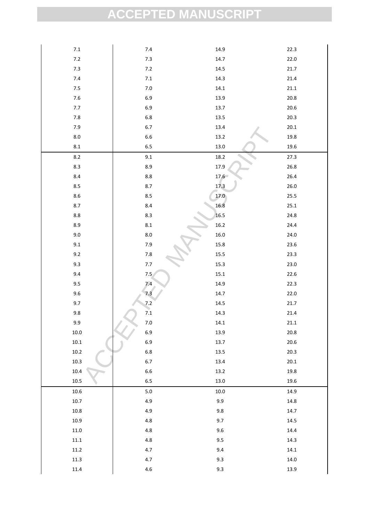| $7.1\,$   | $7.4\,$     | 14.9     | 22.3     |
|-----------|-------------|----------|----------|
| $7.2\,$   | $7.3\,$     | 14.7     | 22.0     |
| $7.3$     | $7.2\,$     | 14.5     | 21.7     |
| $7.4$     | $\bf 7.1$   | 14.3     | 21.4     |
| $7.5\,$   | $7.0\,$     | $14.1\,$ | $21.1\,$ |
| $7.6\,$   | 6.9         | 13.9     | $20.8\,$ |
| 7.7       | 6.9         | 13.7     | $20.6\,$ |
| $7.8\,$   | $6.8\,$     | $13.5\,$ | 20.3     |
| $7.9$     | 6.7         | 13.4     | $20.1\,$ |
| $8.0\,$   | $6.6\,$     | $13.2\,$ | $19.8\,$ |
| $\bf 8.1$ | 6.5         | 13.0     | 19.6     |
| $8.2\,$   | 9.1         | 18.2     | 27.3     |
| $8.3\,$   | 8.9         | 17.9     | 26.8     |
| $8.4\,$   | $8.8\,$     | 17.6     | 26.4     |
| 8.5       | $8.7\,$     | 17.3     | $26.0\,$ |
| $8.6\,$   | $8.5\,$     | 17.0     | 25.5     |
| 8.7       | 8.4         | 16.8     | 25.1     |
| $8.8\,$   | 8.3         | 16.5     | 24.8     |
| $8.9\,$   | $\pmb{8.1}$ | $16.2\,$ | 24.4     |
| $9.0\,$   | $8.0\,$     | $16.0\,$ | 24.0     |
| 9.1       | 7.9         | 15.8     | 23.6     |
| 9.2       | $7.8\,$     | $15.5\,$ | 23.3     |
| 9.3       | 7.7         | $15.3\,$ | 23.0     |
| 9.4       | 7.5         | $15.1\,$ | 22.6     |
| 9.5       | 7.4         | 14.9     | 22.3     |
| $9.6\,$   | 7.3         | 14.7     | 22.0     |
| 9.7       | 7.2         | $14.5\,$ | 21.7     |
| 9.8       | 7.1         | 14.3     | 21.4     |
| 9.9       | 7.0         | 14.1     | 21.1     |
| $10.0\,$  | 6.9         | 13.9     | 20.8     |
| $10.1\,$  | 6.9         | 13.7     | $20.6\,$ |
| $10.2\,$  | $6.8\,$     | $13.5\,$ | 20.3     |
| $10.3\,$  | 6.7         | 13.4     | $20.1\,$ |
| 10.4      | 6.6         | $13.2\,$ | 19.8     |
| 10.5      | $6.5\,$     | $13.0\,$ | 19.6     |
| 10.6      | $5.0\,$     | $10.0\,$ | 14.9     |
| $10.7\,$  | 4.9         | 9.9      | 14.8     |
| $10.8\,$  | 4.9         | $9.8\,$  | 14.7     |
| 10.9      | $4.8\,$     | 9.7      | $14.5\,$ |
| $11.0\,$  | $4.8\,$     | $9.6\,$  | 14.4     |
| 11.1      | 4.8         | 9.5      | 14.3     |
| 11.2      | 4.7         | 9.4      | 14.1     |
| $11.3\,$  | $4.7\,$     | $9.3\,$  | 14.0     |
| 11.4      | $4.6\,$     | $9.3\,$  | 13.9     |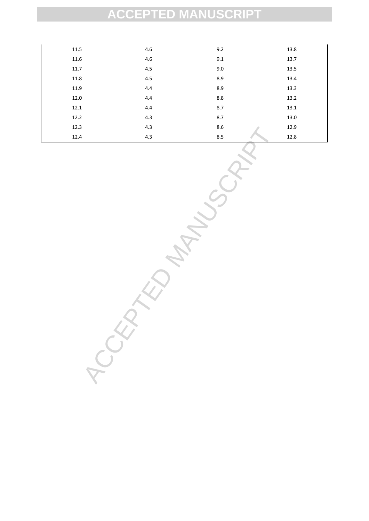| 11.5 | 4.6 | 9.2 | 13.8 |
|------|-----|-----|------|
| 11.6 | 4.6 | 9.1 | 13.7 |
| 11.7 | 4.5 | 9.0 | 13.5 |
| 11.8 | 4.5 | 8.9 | 13.4 |
| 11.9 | 4.4 | 8.9 | 13.3 |
| 12.0 | 4.4 | 8.8 | 13.2 |
| 12.1 | 4.4 | 8.7 | 13.1 |
| 12.2 | 4.3 | 8.7 | 13.0 |
| 12.3 | 4.3 | 8.6 | 12.9 |
| 12.4 | 4.3 | 8.5 | 12.8 |

ACCEPTED MANUSCRIPT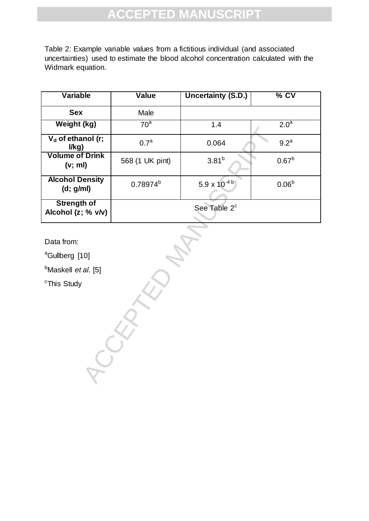Table 2: Example variable values from a fictitious individual (and associated uncertainties) used to estimate the blood alcohol concentration calculated with the Widmark equation.

| <b>Variable</b>                          | <b>Value</b>     | <b>Uncertainty (S.D.)</b>         | $%$ CV            |  |  |
|------------------------------------------|------------------|-----------------------------------|-------------------|--|--|
| <b>Sex</b>                               | Male             |                                   |                   |  |  |
| Weight (kg)                              | 70 <sup>a</sup>  | 1.4                               | 2.0 <sup>a</sup>  |  |  |
| $V_d$ of ethanol (r;<br>I/kg)            | 0.7 <sup>a</sup> | 0.064                             | 9.2 <sup>a</sup>  |  |  |
| <b>Volume of Drink</b><br>(v; ml)        | 568 (1 UK pint)  | $3.81^{b}$                        | $0.67^{b}$        |  |  |
| <b>Alcohol Density</b><br>(d; g/ml)      | $0.78974^{b}$    | $5.9 \times 10^{-4}$ <sup>b</sup> | 0.06 <sup>b</sup> |  |  |
| <b>Strength of</b><br>Alcohol (z; % v/v) |                  | See Table 2 <sup>c</sup>          |                   |  |  |

Data from:

<sup>a</sup>Gullberg [10]

<sup>b</sup>Maskell *et al.* [5]

**RCCEPTED** 

<sup>c</sup>This Study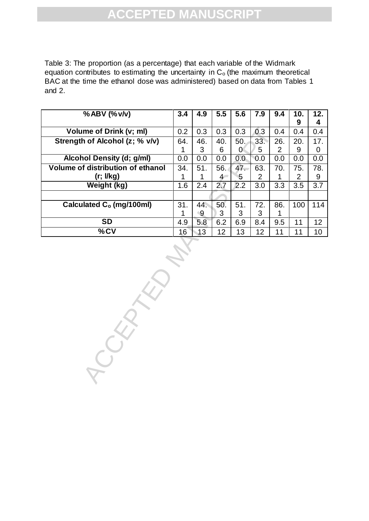Table 3: The proportion (as a percentage) that each variable of the Widmark equation contributes to estimating the uncertainty in  $C<sub>o</sub>$  (the maximum theoretical BAC at the time the ethanol dose was administered) based on data from Tables 1 and 2.

| $%$ ABV $(%$                             | 3.4 | 4.9            | 5.5  | 5.6      | 7.9              | 9.4              | 10.<br>9       | 12.<br>4 |
|------------------------------------------|-----|----------------|------|----------|------------------|------------------|----------------|----------|
| Volume of Drink (v; ml)                  | 0.2 | 0.3            | 0.3  | 0.3      | 0.3              | 0.4              | 0.4            | 0.4      |
| Strength of Alcohol (z; % v/v)           | 64. | 46.            | 40.  | 50.      | 33.              | 26.              | 20.            | 17.      |
|                                          | 1   | 3              | 6    | $\theta$ | 5                | $\overline{2}$   | 9              | 0        |
| <b>Alcohol Density (d; g/ml)</b>         | 0.0 | 0.0            | 0.0  | 0.0      | 0.0              | 0.0              | 0.0            | 0.0      |
| <b>Volume of distribution of ethanol</b> | 34. | 51.            | 56.  | 47.      | 63.              | 70.              | 75.            | 78.      |
| (r; I/kg)                                | 1   | 1              | $4-$ | 5        | $\overline{2}$   | 1                | $\overline{2}$ | 9        |
| <b>Weight (kg)</b>                       | 1.6 | 2.4            | 2.7  | 2.2      | $\overline{3.0}$ | $\overline{3.3}$ | 3.5            | 3.7      |
|                                          |     |                |      |          |                  |                  |                |          |
| Calculated C <sub>o</sub> (mg/100ml)     | 31. | 44.            | 50.  | 51.      | 72.              | 86.              | 100            | 114      |
|                                          | 1   | $\overline{9}$ | 3    | 3        | 3                | 1                |                |          |
| $\overline{\text{SD}}$                   | 4.9 | 5.8            | 6.2  | 6.9      | 8.4              | 9.5              | 11             | 12       |
|                                          | 16  | 13             | 12   | 13       | 12               | 11               | 11             | 10       |
| $\overline{\%$ CV<br>$\hat{Q}$           |     |                |      |          |                  |                  |                |          |